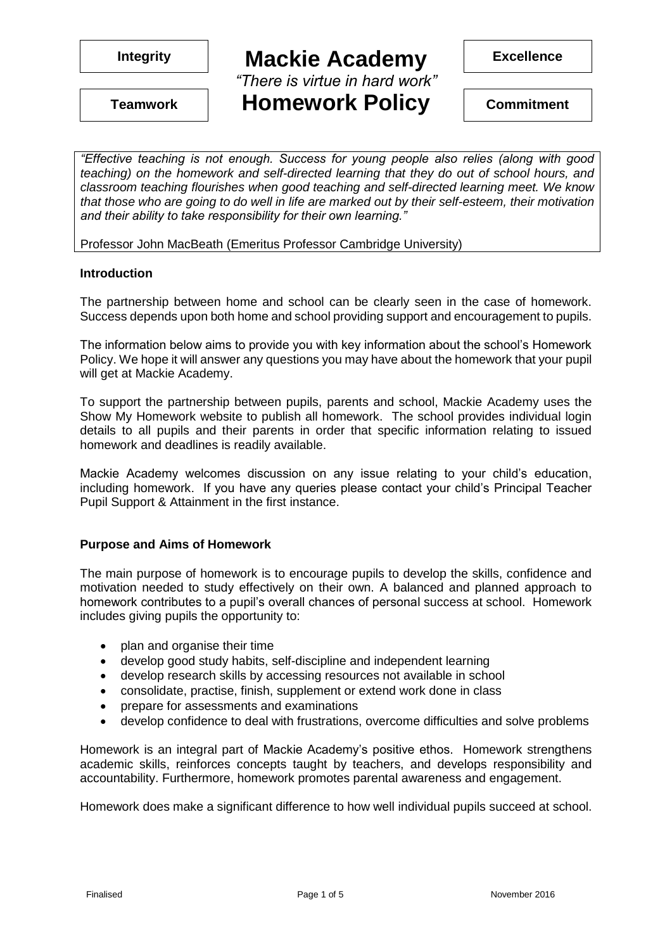*"There is virtue in hard work"*

**Homework Policy Teamwork Commitment**

**Excellence**

*"Effective teaching is not enough. Success for young people also relies (along with good teaching) on the homework and self-directed learning that they do out of school hours, and classroom teaching flourishes when good teaching and self-directed learning meet. We know that those who are going to do well in life are marked out by their self-esteem, their motivation and their ability to take responsibility for their own learning."* 

Professor John MacBeath (Emeritus Professor Cambridge University)

#### **Introduction**

The partnership between home and school can be clearly seen in the case of homework. Success depends upon both home and school providing support and encouragement to pupils.

The information below aims to provide you with key information about the school's Homework Policy. We hope it will answer any questions you may have about the homework that your pupil will get at Mackie Academy.

To support the partnership between pupils, parents and school, Mackie Academy uses the Show My Homework website to publish all homework. The school provides individual login details to all pupils and their parents in order that specific information relating to issued homework and deadlines is readily available.

Mackie Academy welcomes discussion on any issue relating to your child's education, including homework. If you have any queries please contact your child's Principal Teacher Pupil Support & Attainment in the first instance.

### **Purpose and Aims of Homework**

The main purpose of homework is to encourage pupils to develop the skills, confidence and motivation needed to study effectively on their own. A balanced and planned approach to homework contributes to a pupil's overall chances of personal success at school. Homework includes giving pupils the opportunity to:

- plan and organise their time
- develop good study habits, self-discipline and independent learning
- develop research skills by accessing resources not available in school
- consolidate, practise, finish, supplement or extend work done in class
- prepare for assessments and examinations
- develop confidence to deal with frustrations, overcome difficulties and solve problems

Homework is an integral part of Mackie Academy's positive ethos. Homework strengthens academic skills, reinforces concepts taught by teachers, and develops responsibility and accountability. Furthermore, homework promotes parental awareness and engagement.

Homework does make a significant difference to how well individual pupils succeed at school.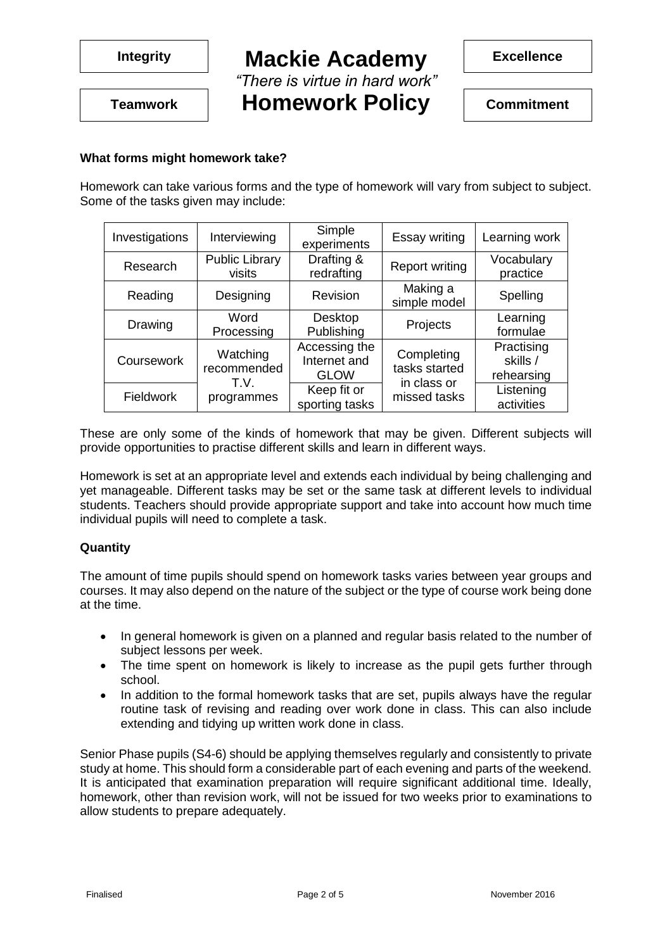*"There is virtue in hard work"*

**Excellence**

**Homework Policy Teamwork Commitment**

### **What forms might homework take?**

Homework can take various forms and the type of homework will vary from subject to subject. Some of the tasks given may include:

| Investigations | Interviewing                    | Simple<br>experiments                        | Essay writing                              | Learning work                        |
|----------------|---------------------------------|----------------------------------------------|--------------------------------------------|--------------------------------------|
| Research       | <b>Public Library</b><br>visits | Drafting &<br>redrafting                     | <b>Report writing</b>                      | Vocabulary<br>practice               |
| Reading        | Designing                       | Revision                                     | Making a<br>simple model                   | Spelling                             |
| Drawing        | Word<br>Processing              | Desktop<br>Publishing                        | Projects                                   | Learning<br>formulae                 |
| Coursework     | Watching<br>recommended<br>T.V. | Accessing the<br>Internet and<br><b>GLOW</b> | Completing<br>tasks started<br>in class or | Practising<br>skills /<br>rehearsing |
| Fieldwork      | programmes                      | Keep fit or<br>sporting tasks                | missed tasks                               | Listening<br>activities              |

These are only some of the kinds of homework that may be given. Different subjects will provide opportunities to practise different skills and learn in different ways.

Homework is set at an appropriate level and extends each individual by being challenging and yet manageable. Different tasks may be set or the same task at different levels to individual students. Teachers should provide appropriate support and take into account how much time individual pupils will need to complete a task.

### **Quantity**

The amount of time pupils should spend on homework tasks varies between year groups and courses. It may also depend on the nature of the subject or the type of course work being done at the time.

- In general homework is given on a planned and regular basis related to the number of subject lessons per week.
- The time spent on homework is likely to increase as the pupil gets further through school.
- In addition to the formal homework tasks that are set, pupils always have the regular routine task of revising and reading over work done in class. This can also include extending and tidying up written work done in class.

Senior Phase pupils (S4-6) should be applying themselves regularly and consistently to private study at home. This should form a considerable part of each evening and parts of the weekend. It is anticipated that examination preparation will require significant additional time. Ideally, homework, other than revision work, will not be issued for two weeks prior to examinations to allow students to prepare adequately.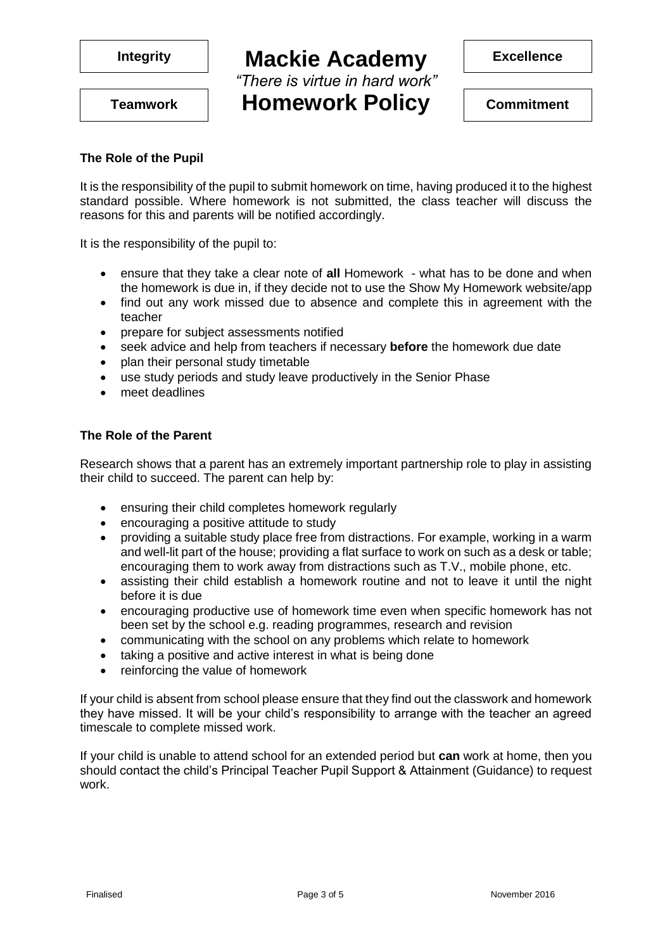*"There is virtue in hard work"* **Homework Policy Teamwork Commitment**

**Excellence**

#### **The Role of the Pupil**

It is the responsibility of the pupil to submit homework on time, having produced it to the highest standard possible. Where homework is not submitted, the class teacher will discuss the reasons for this and parents will be notified accordingly.

It is the responsibility of the pupil to:

- ensure that they take a clear note of **all** Homework what has to be done and when the homework is due in, if they decide not to use the Show My Homework website/app
- find out any work missed due to absence and complete this in agreement with the teacher
- prepare for subject assessments notified
- seek advice and help from teachers if necessary **before** the homework due date
- plan their personal study timetable
- use study periods and study leave productively in the Senior Phase
- meet deadlines

#### **The Role of the Parent**

Research shows that a parent has an extremely important partnership role to play in assisting their child to succeed. The parent can help by:

- ensuring their child completes homework regularly
- encouraging a positive attitude to study
- providing a suitable study place free from distractions. For example, working in a warm and well-lit part of the house; providing a flat surface to work on such as a desk or table; encouraging them to work away from distractions such as T.V., mobile phone, etc.
- assisting their child establish a homework routine and not to leave it until the night before it is due
- encouraging productive use of homework time even when specific homework has not been set by the school e.g. reading programmes, research and revision
- communicating with the school on any problems which relate to homework
- taking a positive and active interest in what is being done
- reinforcing the value of homework

If your child is absent from school please ensure that they find out the classwork and homework they have missed. It will be your child's responsibility to arrange with the teacher an agreed timescale to complete missed work.

If your child is unable to attend school for an extended period but **can** work at home, then you should contact the child's Principal Teacher Pupil Support & Attainment (Guidance) to request work.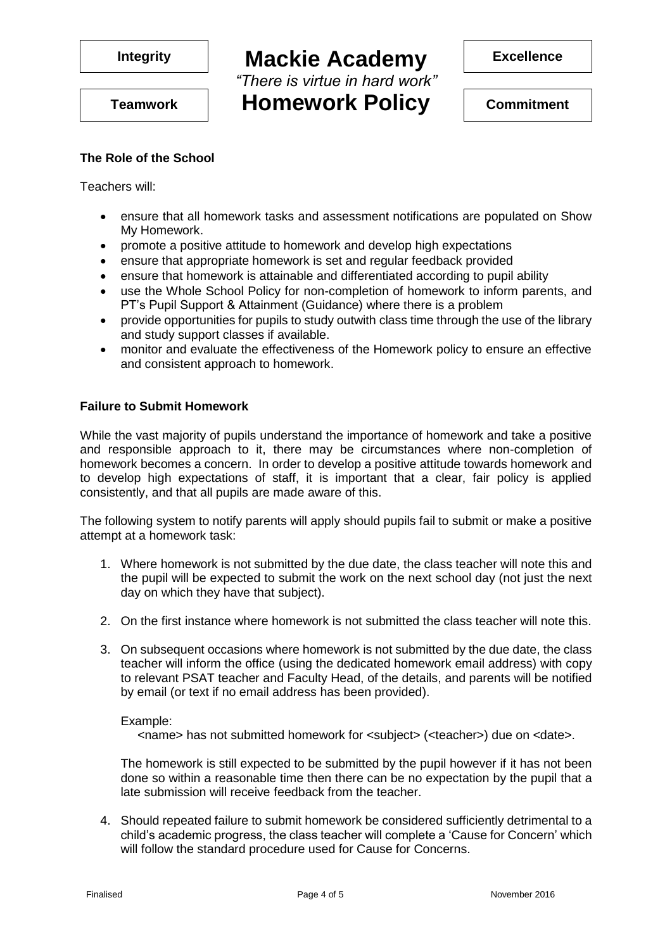

*"There is virtue in hard work"* **Homework Policy Teamwork Commitment**

**Excellence**

# **The Role of the School**

Teachers will:

- ensure that all homework tasks and assessment notifications are populated on Show My Homework.
- promote a positive attitude to homework and develop high expectations
- ensure that appropriate homework is set and regular feedback provided
- ensure that homework is attainable and differentiated according to pupil ability
- use the Whole School Policy for non-completion of homework to inform parents, and PT's Pupil Support & Attainment (Guidance) where there is a problem
- provide opportunities for pupils to study outwith class time through the use of the library and study support classes if available.
- monitor and evaluate the effectiveness of the Homework policy to ensure an effective and consistent approach to homework.

### **Failure to Submit Homework**

While the vast majority of pupils understand the importance of homework and take a positive and responsible approach to it, there may be circumstances where non-completion of homework becomes a concern. In order to develop a positive attitude towards homework and to develop high expectations of staff, it is important that a clear, fair policy is applied consistently, and that all pupils are made aware of this.

The following system to notify parents will apply should pupils fail to submit or make a positive attempt at a homework task:

- 1. Where homework is not submitted by the due date, the class teacher will note this and the pupil will be expected to submit the work on the next school day (not just the next day on which they have that subject).
- 2. On the first instance where homework is not submitted the class teacher will note this.
- 3. On subsequent occasions where homework is not submitted by the due date, the class teacher will inform the office (using the dedicated homework email address) with copy to relevant PSAT teacher and Faculty Head, of the details, and parents will be notified by email (or text if no email address has been provided).

#### Example:

<name> has not submitted homework for <subject> (<teacher>) due on <date>.

The homework is still expected to be submitted by the pupil however if it has not been done so within a reasonable time then there can be no expectation by the pupil that a late submission will receive feedback from the teacher.

4. Should repeated failure to submit homework be considered sufficiently detrimental to a child's academic progress, the class teacher will complete a 'Cause for Concern' which will follow the standard procedure used for Cause for Concerns.